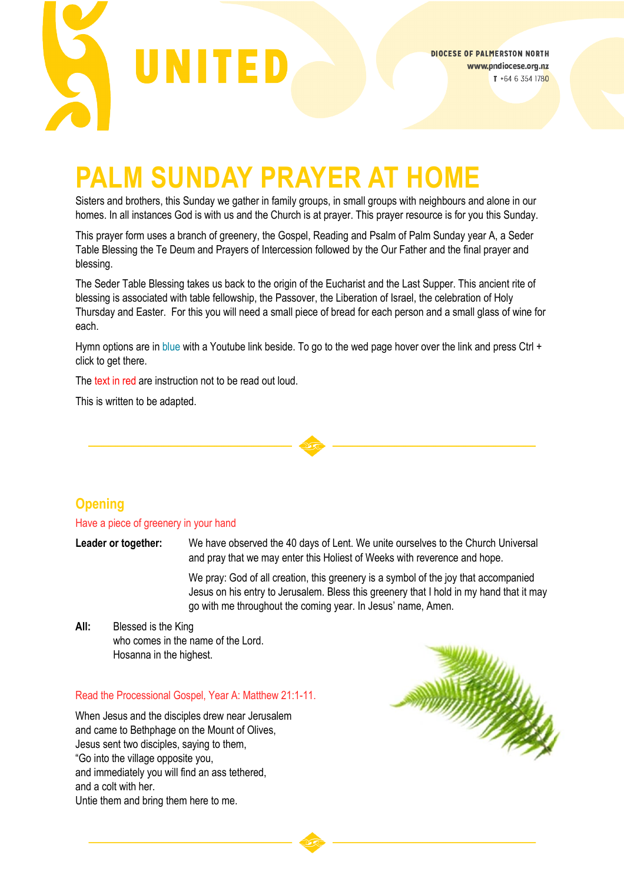

# **PALM SUNDAY PRAYER AT HOME**

Sisters and brothers, this Sunday we gather in family groups, in small groups with neighbours and alone in our homes. In all instances God is with us and the Church is at prayer. This prayer resource is for you this Sunday.

This prayer form uses a branch of greenery, the Gospel, Reading and Psalm of Palm Sunday year A, a Seder Table Blessing the Te Deum and Prayers of Intercession followed by the Our Father and the final prayer and blessing.

The Seder Table Blessing takes us back to the origin of the Eucharist and the Last Supper. This ancient rite of blessing is associated with table fellowship, the Passover, the Liberation of Israel, the celebration of Holy Thursday and Easter. For this you will need a small piece of bread for each person and a small glass of wine for each.

Hymn options are in blue with a Youtube link beside. To go to the wed page hover over the link and press Ctrl + click to get there.

The text in red are instruction not to be read out loud.

This is written to be adapted.



### Have a piece of greenery in your hand

Leader or together: We have observed the 40 days of Lent. We unite ourselves to the Church Universal and pray that we may enter this Holiest of Weeks with reverence and hope.

> We pray: God of all creation, this greenery is a symbol of the joy that accompanied Jesus on his entry to Jerusalem. Bless this greenery that I hold in my hand that it may go with me throughout the coming year. In Jesus' name, Amen.

**All:** Blessed is the King who comes in the name of the Lord. Hosanna in the highest.

## Read the Processional Gospel, Year A: Matthew 21:1-11.

When Jesus and the disciples drew near Jerusalem and came to Bethphage on the Mount of Olives, Jesus sent two disciples, saying to them, "Go into the village opposite you, and immediately you will find an ass tethered, and a colt with her. Untie them and bring them here to me.

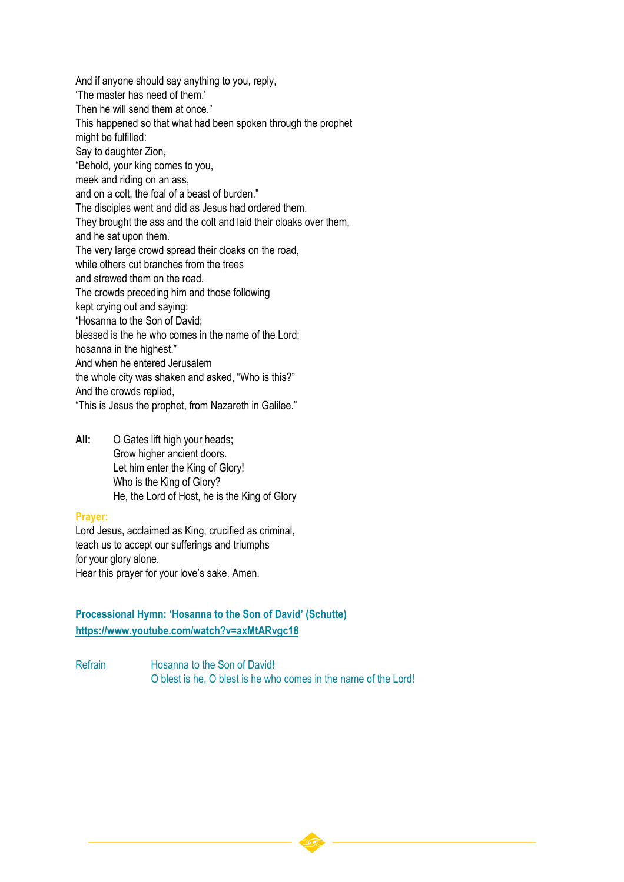And if anyone should say anything to you, reply, 'The master has need of them.' Then he will send them at once." This happened so that what had been spoken through the prophet might be fulfilled: Say to daughter Zion, "Behold, your king comes to you, meek and riding on an ass, and on a colt, the foal of a beast of burden." The disciples went and did as Jesus had ordered them. They brought the ass and the colt and laid their cloaks over them, and he sat upon them. The very large crowd spread their cloaks on the road, while others cut branches from the trees and strewed them on the road. The crowds preceding him and those following kept crying out and saying: "Hosanna to the Son of David; blessed is the he who comes in the name of the Lord; hosanna in the highest." And when he entered Jerusalem the whole city was shaken and asked, "Who is this?" And the crowds replied, "This is Jesus the prophet, from Nazareth in Galilee."

**All:** O Gates lift high your heads; Grow higher ancient doors. Let him enter the King of Glory! Who is the King of Glory? He, the Lord of Host, he is the King of Glory

### **Prayer:**

Lord Jesus, acclaimed as King, crucified as criminal, teach us to accept our sufferings and triumphs for your glory alone. Hear this prayer for your love's sake. Amen.

# **Processional Hymn: 'Hosanna to the Son of David' (Schutte) <https://www.youtube.com/watch?v=axMtARvgc18>**

Refrain **Hosanna** to the Son of David! O blest is he, O blest is he who comes in the name of the Lord!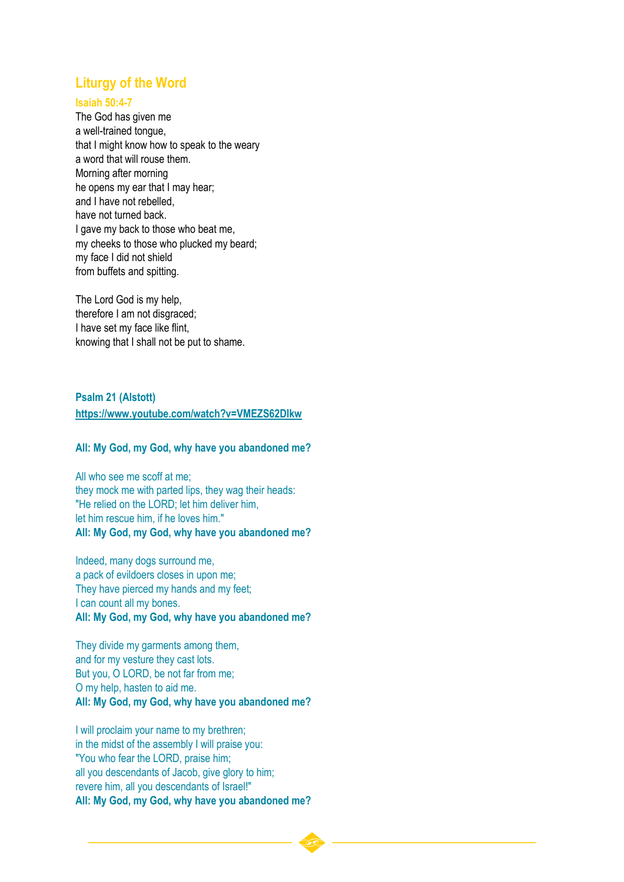# **Liturgy of the Word**

## **Isaiah 50:4-7**

The God has given me a well-trained tongue, that I might know how to speak to the weary a word that will rouse them. Morning after morning he opens my ear that I may hear; and I have not rebelled, have not turned back. I gave my back to those who beat me. my cheeks to those who plucked my beard; my face I did not shield from buffets and spitting.

The Lord God is my help, therefore I am not disgraced; I have set my face like flint, knowing that I shall not be put to shame.

# **Psalm 21 (Alstott) <https://www.youtube.com/watch?v=VMEZS62DIkw>**

## **All: My God, my God, why have you abandoned me?**

All who see me scoff at me; they mock me with parted lips, they wag their heads: "He relied on the LORD; let him deliver him, let him rescue him, if he loves him." **All: My God, my God, why have you abandoned me?**

Indeed, many dogs surround me, a pack of evildoers closes in upon me; They have pierced my hands and my feet; I can count all my bones. **All: My God, my God, why have you abandoned me?**

They divide my garments among them, and for my vesture they cast lots. But you, O LORD, be not far from me; O my help, hasten to aid me. **All: My God, my God, why have you abandoned me?**

I will proclaim your name to my brethren; in the midst of the assembly I will praise you: "You who fear the LORD, praise him; all you descendants of Jacob, give glory to him; revere him, all you descendants of Israel!" **All: My God, my God, why have you abandoned me?**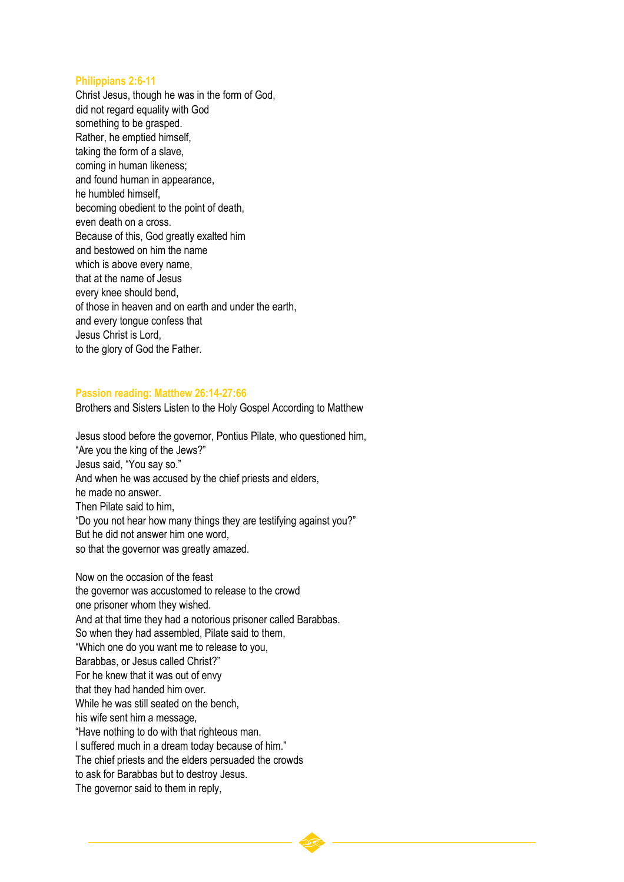#### **Philippians 2:6-11**

Christ Jesus, though he was in the form of God, did not regard equality with God something to be grasped. Rather, he emptied himself, taking the form of a slave, coming in human likeness; and found human in appearance, he humbled himself, becoming obedient to the point of death, even death on a cross. Because of this, God greatly exalted him and bestowed on him the name which is above every name, that at the name of Jesus every knee should bend, of those in heaven and on earth and under the earth, and every tongue confess that Jesus Christ is Lord, to the glory of God the Father.

#### **Passion reading: Matthew 26:14-27:66**

Brothers and Sisters Listen to the Holy Gospel According to Matthew

Jesus stood before the governor, Pontius Pilate, who questioned him, "Are you the king of the Jews?" Jesus said, "You say so." And when he was accused by the chief priests and elders, he made no answer. Then Pilate said to him, "Do you not hear how many things they are testifying against you?" But he did not answer him one word, so that the governor was greatly amazed.

Now on the occasion of the feast the governor was accustomed to release to the crowd one prisoner whom they wished. And at that time they had a notorious prisoner called Barabbas. So when they had assembled, Pilate said to them, "Which one do you want me to release to you, Barabbas, or Jesus called Christ?" For he knew that it was out of envy that they had handed him over. While he was still seated on the bench, his wife sent him a message, "Have nothing to do with that righteous man. I suffered much in a dream today because of him." The chief priests and the elders persuaded the crowds to ask for Barabbas but to destroy Jesus. The governor said to them in reply,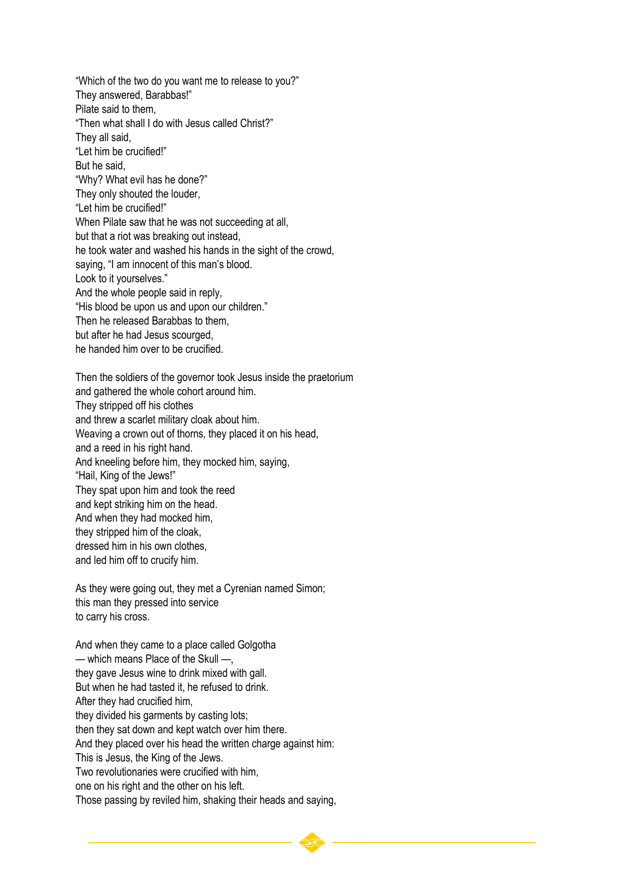"Which of the two do you want me to release to you?" They answered, Barabbas!" Pilate said to them, "Then what shall I do with Jesus called Christ?" They all said, "Let him be crucified!" But he said, "Why? What evil has he done?" They only shouted the louder, "Let him be crucified!" When Pilate saw that he was not succeeding at all, but that a riot was breaking out instead, he took water and washed his hands in the sight of the crowd, saying, "I am innocent of this man's blood. Look to it yourselves." And the whole people said in reply, "His blood be upon us and upon our children." Then he released Barabbas to them, but after he had Jesus scourged, he handed him over to be crucified. Then the soldiers of the governor took Jesus inside the praetorium

and gathered the whole cohort around him. They stripped off his clothes and threw a scarlet military cloak about him. Weaving a crown out of thorns, they placed it on his head, and a reed in his right hand. And kneeling before him, they mocked him, saying, "Hail, King of the Jews!" They spat upon him and took the reed and kept striking him on the head. And when they had mocked him, they stripped him of the cloak, dressed him in his own clothes, and led him off to crucify him.

As they were going out, they met a Cyrenian named Simon; this man they pressed into service to carry his cross.

And when they came to a place called Golgotha — which means Place of the Skull —, they gave Jesus wine to drink mixed with gall. But when he had tasted it, he refused to drink. After they had crucified him, they divided his garments by casting lots; then they sat down and kept watch over him there. And they placed over his head the written charge against him: This is Jesus, the King of the Jews. Two revolutionaries were crucified with him, one on his right and the other on his left. Those passing by reviled him, shaking their heads and saying,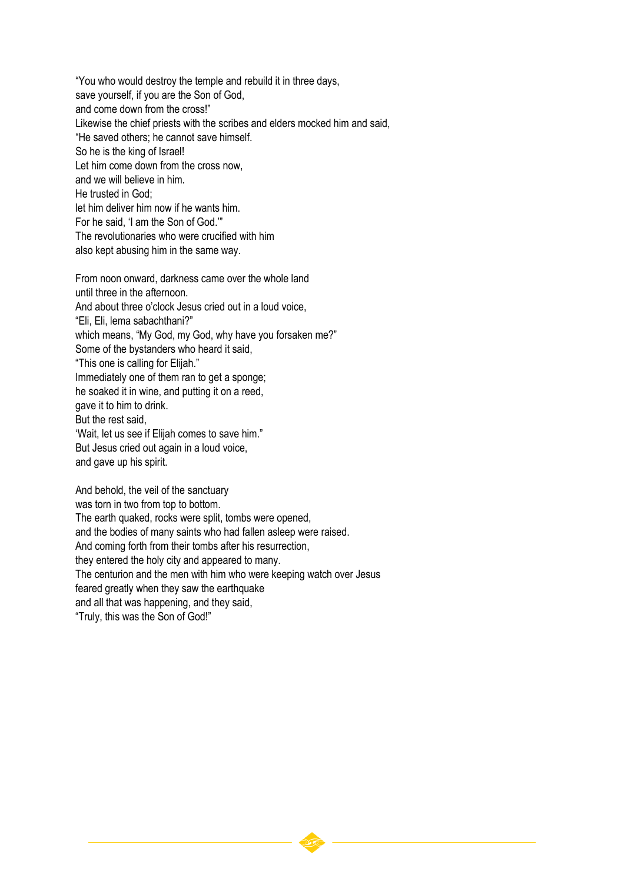"You who would destroy the temple and rebuild it in three days, save yourself, if you are the Son of God, and come down from the cross!" Likewise the chief priests with the scribes and elders mocked him and said, "He saved others; he cannot save himself. So he is the king of Israel! Let him come down from the cross now, and we will believe in him. He trusted in God; let him deliver him now if he wants him. For he said, 'I am the Son of God.'" The revolutionaries who were crucified with him also kept abusing him in the same way.

From noon onward, darkness came over the whole land until three in the afternoon. And about three o'clock Jesus cried out in a loud voice, "Eli, Eli, lema sabachthani?" which means, "My God, my God, why have you forsaken me?" Some of the bystanders who heard it said, "This one is calling for Elijah." Immediately one of them ran to get a sponge; he soaked it in wine, and putting it on a reed, gave it to him to drink. But the rest said, 'Wait, let us see if Elijah comes to save him." But Jesus cried out again in a loud voice, and gave up his spirit.

And behold, the veil of the sanctuary was torn in two from top to bottom. The earth quaked, rocks were split, tombs were opened, and the bodies of many saints who had fallen asleep were raised. And coming forth from their tombs after his resurrection, they entered the holy city and appeared to many. The centurion and the men with him who were keeping watch over Jesus feared greatly when they saw the earthquake and all that was happening, and they said, "Truly, this was the Son of God!"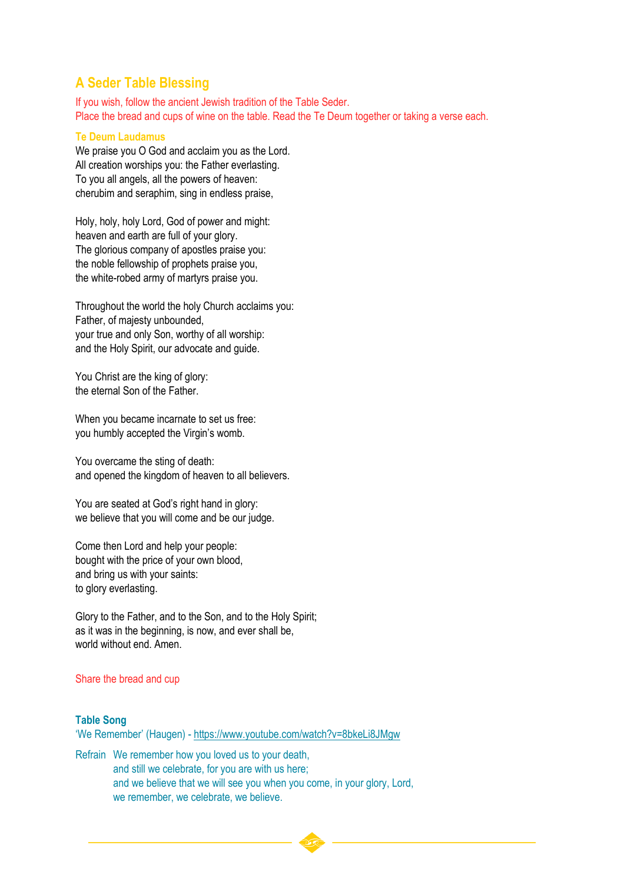# **A Seder Table Blessing**

If you wish, follow the ancient Jewish tradition of the Table Seder. Place the bread and cups of wine on the table. Read the Te Deum together or taking a verse each.

### **Te Deum Laudamus**

We praise you O God and acclaim you as the Lord. All creation worships you: the Father everlasting. To you all angels, all the powers of heaven: cherubim and seraphim, sing in endless praise,

Holy, holy, holy Lord, God of power and might: heaven and earth are full of your glory. The glorious company of apostles praise you: the noble fellowship of prophets praise you, the white-robed army of martyrs praise you.

Throughout the world the holy Church acclaims you: Father, of majesty unbounded, your true and only Son, worthy of all worship: and the Holy Spirit, our advocate and guide.

You Christ are the king of glory: the eternal Son of the Father.

When you became incarnate to set us free: you humbly accepted the Virgin's womb.

You overcame the sting of death: and opened the kingdom of heaven to all believers.

You are seated at God's right hand in glory: we believe that you will come and be our judge.

Come then Lord and help your people: bought with the price of your own blood, and bring us with your saints: to glory everlasting.

Glory to the Father, and to the Son, and to the Holy Spirit; as it was in the beginning, is now, and ever shall be, world without end. Amen.

#### Share the bread and cup

#### **Table Song**

'We Remember' (Haugen) - <https://www.youtube.com/watch?v=8bkeLi8JMgw>

Refrain We remember how you loved us to your death, and still we celebrate, for you are with us here; and we believe that we will see you when you come, in your glory, Lord, we remember, we celebrate, we believe.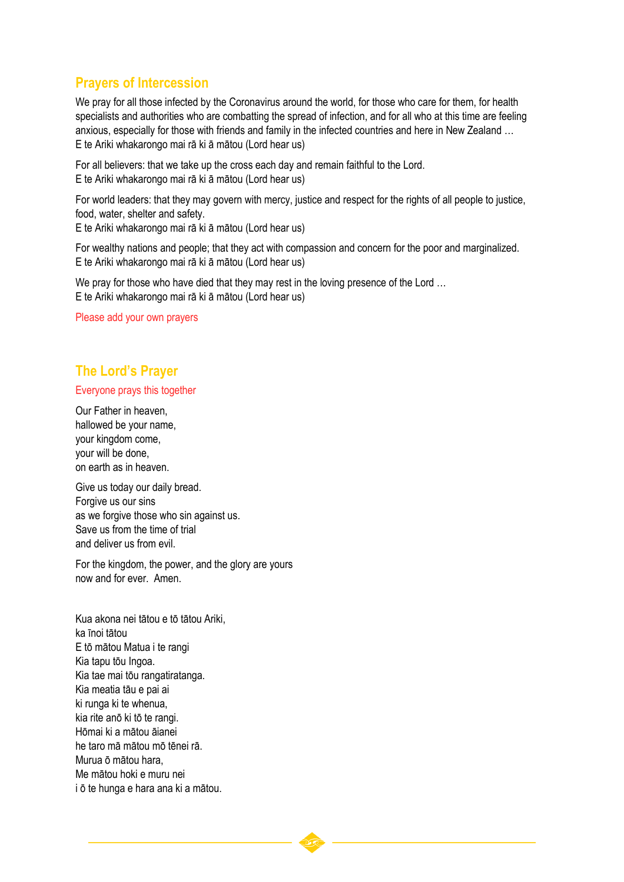# **Prayers of Intercession**

We pray for all those infected by the Coronavirus around the world, for those who care for them, for health specialists and authorities who are combatting the spread of infection, and for all who at this time are feeling anxious, especially for those with friends and family in the infected countries and here in New Zealand … E te Ariki whakarongo mai rā ki ā mātou (Lord hear us)

For all believers: that we take up the cross each day and remain faithful to the Lord. E te Ariki whakarongo mai rā ki ā mātou (Lord hear us)

For world leaders: that they may govern with mercy, justice and respect for the rights of all people to justice, food, water, shelter and safety.

E te Ariki whakarongo mai rā ki ā mātou (Lord hear us)

For wealthy nations and people; that they act with compassion and concern for the poor and marginalized. E te Ariki whakarongo mai rā ki ā mātou (Lord hear us)

We pray for those who have died that they may rest in the loving presence of the Lord ... E te Ariki whakarongo mai rā ki ā mātou (Lord hear us)

Please add your own prayers

# **The Lord's Prayer**

Everyone prays this together

Our Father in heaven, hallowed be your name, your kingdom come, your will be done, on earth as in heaven.

Give us today our daily bread. Forgive us our sins as we forgive those who sin against us. Save us from the time of trial and deliver us from evil.

For the kingdom, the power, and the glory are yours now and for ever. Amen.

Kua akona nei tātou e tō tātou Ariki, ka īnoi tātou E tō mātou Matua i te rangi Kia tapu tōu Ingoa. Kia tae mai tōu rangatiratanga. Kia meatia tāu e pai ai ki runga ki te whenua, kia rite anō ki tō te rangi. Hōmai ki a mātou āianei he taro mā mātou mō tēnei rā. Murua ō mātou hara, Me mātou hoki e muru nei i ō te hunga e hara ana ki a mātou.